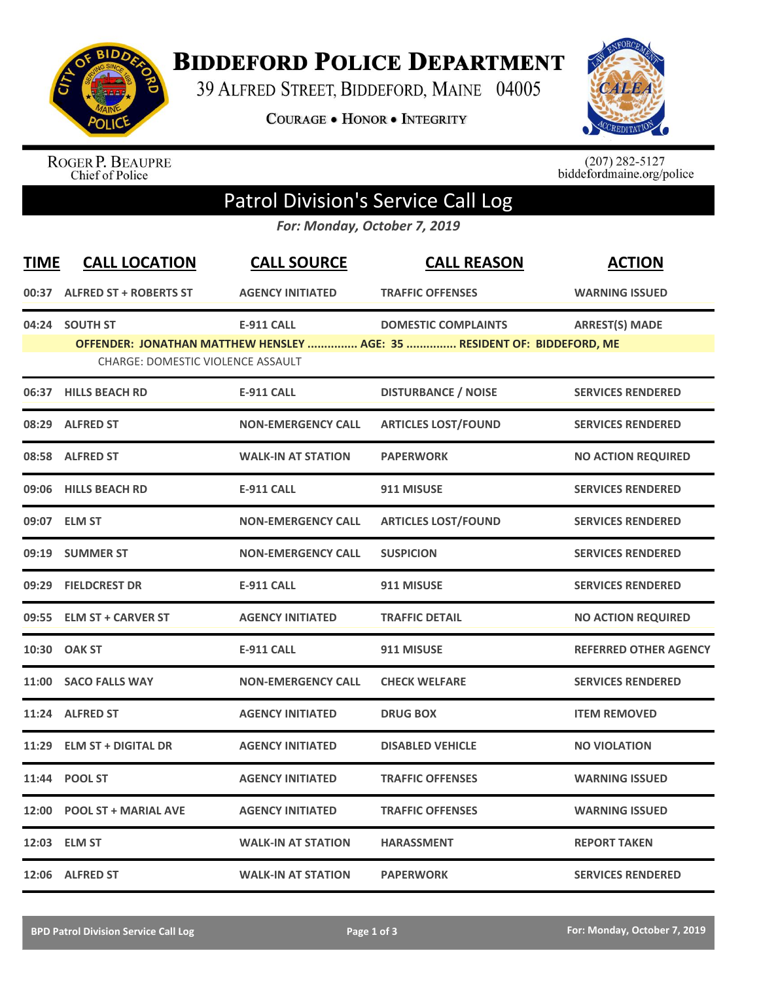

**BIDDEFORD POLICE DEPARTMENT** 

39 ALFRED STREET, BIDDEFORD, MAINE 04005

**COURAGE . HONOR . INTEGRITY** 



ROGER P. BEAUPRE<br>Chief of Police

 $(207)$  282-5127<br>biddefordmaine.org/police

## Patrol Division's Service Call Log

*For: Monday, October 7, 2019*

| <b>TIME</b> | <b>CALL LOCATION</b>                     | <b>CALL SOURCE</b>        | <b>CALL REASON</b>                                                      | <b>ACTION</b>                |
|-------------|------------------------------------------|---------------------------|-------------------------------------------------------------------------|------------------------------|
|             | 00:37 ALFRED ST + ROBERTS ST             | <b>AGENCY INITIATED</b>   | <b>TRAFFIC OFFENSES</b>                                                 | <b>WARNING ISSUED</b>        |
|             | 04:24 SOUTH ST                           | <b>E-911 CALL</b>         | <b>DOMESTIC COMPLAINTS</b>                                              | <b>ARREST(S) MADE</b>        |
|             | <b>CHARGE: DOMESTIC VIOLENCE ASSAULT</b> |                           | OFFENDER: JONATHAN MATTHEW HENSLEY  AGE: 35  RESIDENT OF: BIDDEFORD, ME |                              |
|             |                                          |                           |                                                                         |                              |
|             | 06:37 HILLS BEACH RD                     | <b>E-911 CALL</b>         | <b>DISTURBANCE / NOISE</b>                                              | <b>SERVICES RENDERED</b>     |
|             | 08:29 ALFRED ST                          | <b>NON-EMERGENCY CALL</b> | <b>ARTICLES LOST/FOUND</b>                                              | <b>SERVICES RENDERED</b>     |
|             | 08:58 ALFRED ST                          | <b>WALK-IN AT STATION</b> | <b>PAPERWORK</b>                                                        | <b>NO ACTION REQUIRED</b>    |
| 09:06       | <b>HILLS BEACH RD</b>                    | <b>E-911 CALL</b>         | 911 MISUSE                                                              | <b>SERVICES RENDERED</b>     |
|             | 09:07 ELM ST                             | <b>NON-EMERGENCY CALL</b> | <b>ARTICLES LOST/FOUND</b>                                              | <b>SERVICES RENDERED</b>     |
|             | 09:19 SUMMER ST                          | <b>NON-EMERGENCY CALL</b> | <b>SUSPICION</b>                                                        | <b>SERVICES RENDERED</b>     |
|             | 09:29 FIELDCREST DR                      | <b>E-911 CALL</b>         | 911 MISUSE                                                              | <b>SERVICES RENDERED</b>     |
|             | 09:55 ELM ST + CARVER ST                 | <b>AGENCY INITIATED</b>   | <b>TRAFFIC DETAIL</b>                                                   | <b>NO ACTION REQUIRED</b>    |
|             | 10:30 OAK ST                             | <b>E-911 CALL</b>         | 911 MISUSE                                                              | <b>REFERRED OTHER AGENCY</b> |
|             | 11:00 SACO FALLS WAY                     | <b>NON-EMERGENCY CALL</b> | <b>CHECK WELFARE</b>                                                    | <b>SERVICES RENDERED</b>     |
|             | 11:24 ALFRED ST                          | <b>AGENCY INITIATED</b>   | <b>DRUG BOX</b>                                                         | <b>ITEM REMOVED</b>          |
| 11:29       | <b>ELM ST + DIGITAL DR</b>               | <b>AGENCY INITIATED</b>   | <b>DISABLED VEHICLE</b>                                                 | <b>NO VIOLATION</b>          |
|             | 11:44 POOL ST                            | <b>AGENCY INITIATED</b>   | <b>TRAFFIC OFFENSES</b>                                                 | <b>WARNING ISSUED</b>        |
| 12:00       | <b>POOL ST + MARIAL AVE</b>              | <b>AGENCY INITIATED</b>   | <b>TRAFFIC OFFENSES</b>                                                 | <b>WARNING ISSUED</b>        |
|             | 12:03 ELM ST                             | <b>WALK-IN AT STATION</b> | <b>HARASSMENT</b>                                                       | <b>REPORT TAKEN</b>          |
|             | 12:06 ALFRED ST                          | <b>WALK-IN AT STATION</b> | <b>PAPERWORK</b>                                                        | <b>SERVICES RENDERED</b>     |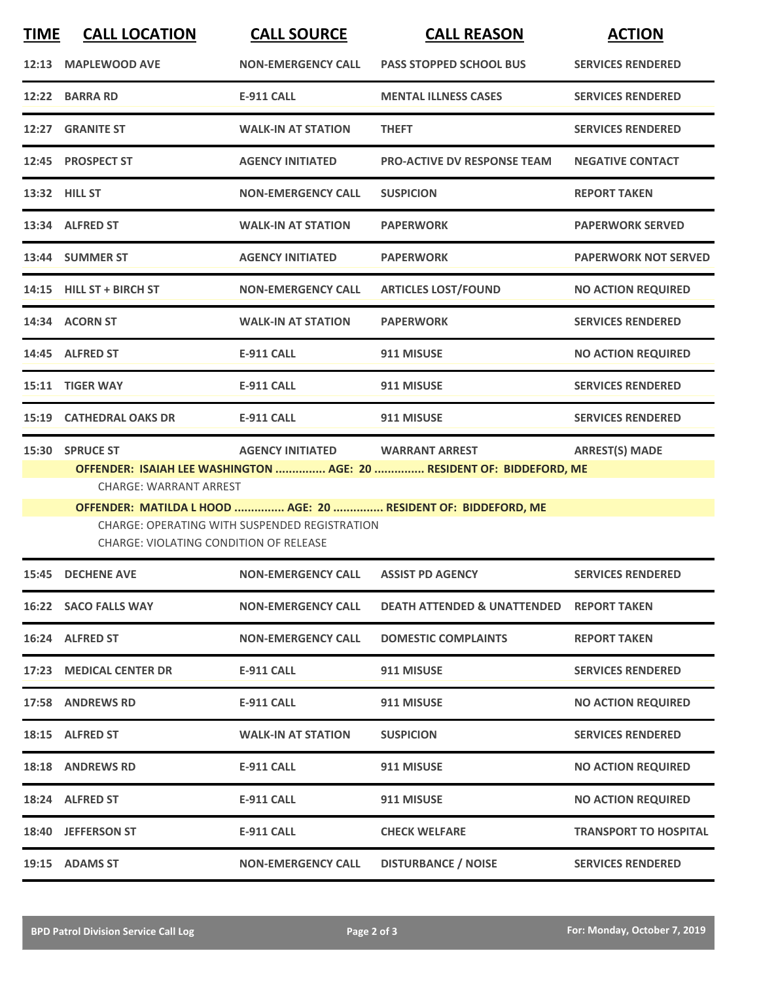| <b>TIME</b> | <b>CALL LOCATION</b>                                                                                                                                                                                  | <b>CALL SOURCE</b>        | <b>CALL REASON</b>                     | <b>ACTION</b>                |  |  |
|-------------|-------------------------------------------------------------------------------------------------------------------------------------------------------------------------------------------------------|---------------------------|----------------------------------------|------------------------------|--|--|
|             | 12:13 MAPLEWOOD AVE                                                                                                                                                                                   | <b>NON-EMERGENCY CALL</b> | <b>PASS STOPPED SCHOOL BUS</b>         | <b>SERVICES RENDERED</b>     |  |  |
|             | 12:22 BARRA RD                                                                                                                                                                                        | <b>E-911 CALL</b>         | <b>MENTAL ILLNESS CASES</b>            | <b>SERVICES RENDERED</b>     |  |  |
|             | 12:27 GRANITE ST                                                                                                                                                                                      | <b>WALK-IN AT STATION</b> | <b>THEFT</b>                           | <b>SERVICES RENDERED</b>     |  |  |
|             | 12:45 PROSPECT ST                                                                                                                                                                                     | <b>AGENCY INITIATED</b>   | <b>PRO-ACTIVE DV RESPONSE TEAM</b>     | <b>NEGATIVE CONTACT</b>      |  |  |
|             | 13:32 HILL ST                                                                                                                                                                                         | <b>NON-EMERGENCY CALL</b> | <b>SUSPICION</b>                       | <b>REPORT TAKEN</b>          |  |  |
|             | 13:34 ALFRED ST                                                                                                                                                                                       | <b>WALK-IN AT STATION</b> | <b>PAPERWORK</b>                       | <b>PAPERWORK SERVED</b>      |  |  |
|             | 13:44 SUMMER ST                                                                                                                                                                                       | <b>AGENCY INITIATED</b>   | <b>PAPERWORK</b>                       | <b>PAPERWORK NOT SERVED</b>  |  |  |
|             | 14:15 HILL ST + BIRCH ST                                                                                                                                                                              | <b>NON-EMERGENCY CALL</b> | <b>ARTICLES LOST/FOUND</b>             | <b>NO ACTION REQUIRED</b>    |  |  |
|             | 14:34 ACORN ST                                                                                                                                                                                        | <b>WALK-IN AT STATION</b> | <b>PAPERWORK</b>                       | <b>SERVICES RENDERED</b>     |  |  |
|             | 14:45 ALFRED ST                                                                                                                                                                                       | <b>E-911 CALL</b>         | 911 MISUSE                             | <b>NO ACTION REQUIRED</b>    |  |  |
|             | 15:11 TIGER WAY                                                                                                                                                                                       | <b>E-911 CALL</b>         | 911 MISUSE                             | <b>SERVICES RENDERED</b>     |  |  |
|             | <b>15:19 CATHEDRAL OAKS DR</b>                                                                                                                                                                        | <b>E-911 CALL</b>         | 911 MISUSE                             | <b>SERVICES RENDERED</b>     |  |  |
|             | <b>AGENCY INITIATED</b><br><b>ARREST(S) MADE</b><br>15:30 SPRUCE ST<br><b>WARRANT ARREST</b><br>OFFENDER: ISAIAH LEE WASHINGTON  AGE: 20  RESIDENT OF: BIDDEFORD, ME<br><b>CHARGE: WARRANT ARREST</b> |                           |                                        |                              |  |  |
|             | OFFENDER: MATILDA L HOOD  AGE: 20  RESIDENT OF: BIDDEFORD, ME<br>CHARGE: OPERATING WITH SUSPENDED REGISTRATION<br><b>CHARGE: VIOLATING CONDITION OF RELEASE</b>                                       |                           |                                        |                              |  |  |
|             | 15:45 DECHENE AVE                                                                                                                                                                                     | <b>NON-EMERGENCY CALL</b> | <b>ASSIST PD AGENCY</b>                | <b>SERVICES RENDERED</b>     |  |  |
|             | 16:22 SACO FALLS WAY                                                                                                                                                                                  | <b>NON-EMERGENCY CALL</b> | <b>DEATH ATTENDED &amp; UNATTENDED</b> | <b>REPORT TAKEN</b>          |  |  |
|             | 16:24 ALFRED ST                                                                                                                                                                                       | <b>NON-EMERGENCY CALL</b> | <b>DOMESTIC COMPLAINTS</b>             | <b>REPORT TAKEN</b>          |  |  |
|             | 17:23 MEDICAL CENTER DR                                                                                                                                                                               | <b>E-911 CALL</b>         | 911 MISUSE                             | <b>SERVICES RENDERED</b>     |  |  |
|             | 17:58 ANDREWS RD                                                                                                                                                                                      | <b>E-911 CALL</b>         | 911 MISUSE                             | <b>NO ACTION REQUIRED</b>    |  |  |
|             | 18:15 ALFRED ST                                                                                                                                                                                       | <b>WALK-IN AT STATION</b> | <b>SUSPICION</b>                       | <b>SERVICES RENDERED</b>     |  |  |
|             | <b>18:18 ANDREWS RD</b>                                                                                                                                                                               | <b>E-911 CALL</b>         | 911 MISUSE                             | <b>NO ACTION REQUIRED</b>    |  |  |
|             | 18:24 ALFRED ST                                                                                                                                                                                       | <b>E-911 CALL</b>         | 911 MISUSE                             | <b>NO ACTION REQUIRED</b>    |  |  |
|             | 18:40 JEFFERSON ST                                                                                                                                                                                    | <b>E-911 CALL</b>         | <b>CHECK WELFARE</b>                   | <b>TRANSPORT TO HOSPITAL</b> |  |  |
|             | 19:15 ADAMS ST                                                                                                                                                                                        | <b>NON-EMERGENCY CALL</b> | <b>DISTURBANCE / NOISE</b>             | <b>SERVICES RENDERED</b>     |  |  |